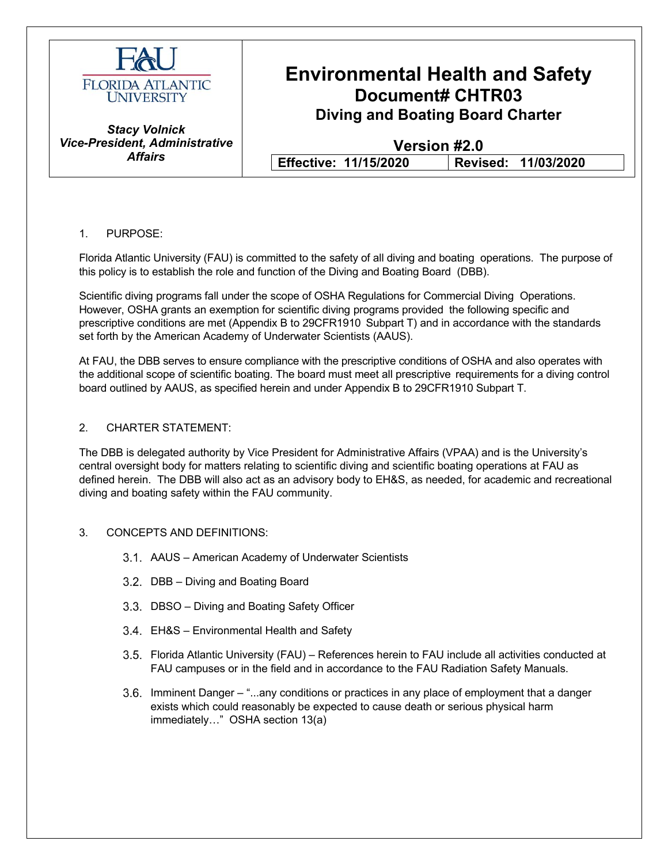

### **Environmental Health and Safety Document# CHTR03 Diving and Boating Board Charter**

*Stacy Volnick Vice-President, Administrative Affairs*

**Version #2.0 Effective: 11/15/2020 Revised: 11/03/2020**

#### 1. PURPOSE:

Florida Atlantic University (FAU) is committed to the safety of all diving and boating operations. The purpose of this policy is to establish the role and function of the Diving and Boating Board (DBB).

Scientific diving programs fall under the scope of OSHA Regulations for Commercial Diving Operations. However, OSHA grants an exemption for scientific diving programs provided the following specific and prescriptive conditions are met (Appendix B to 29CFR1910 Subpart T) and in accordance with the standards set forth by the American Academy of Underwater Scientists (AAUS).

At FAU, the DBB serves to ensure compliance with the prescriptive conditions of OSHA and also operates with the additional scope of scientific boating. The board must meet all prescriptive requirements for a diving control board outlined by AAUS, as specified herein and under Appendix B to 29CFR1910 Subpart T.

#### 2. CHARTER STATEMENT:

The DBB is delegated authority by Vice President for Administrative Affairs (VPAA) and is the University's central oversight body for matters relating to scientific diving and scientific boating operations at FAU as defined herein. The DBB will also act as an advisory body to EH&S, as needed, for academic and recreational diving and boating safety within the FAU community.

#### 3. CONCEPTS AND DEFINITIONS:

- AAUS American Academy of Underwater Scientists
- 3.2. DBB Diving and Boating Board
- 3.3. DBSO Diving and Boating Safety Officer
- EH&S Environmental Health and Safety
- Florida Atlantic University (FAU) References herein to FAU include all activities conducted at FAU campuses or in the field and in accordance to the FAU Radiation Safety Manuals.
- Imminent Danger "...any conditions or practices in any place of employment that a danger exists which could reasonably be expected to cause death or serious physical harm immediately…" OSHA section 13(a)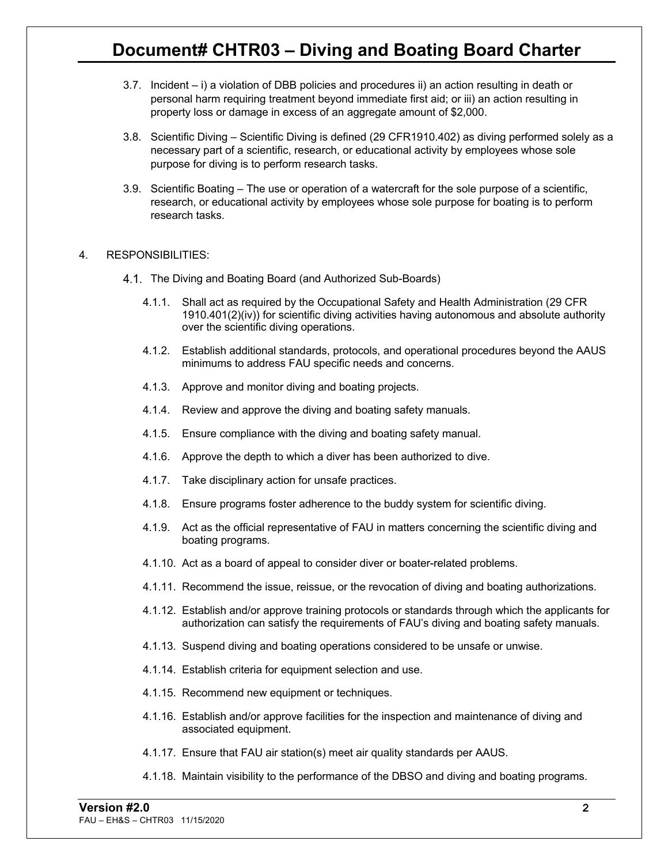- 3.7. Incident i) a violation of DBB policies and procedures ii) an action resulting in death or personal harm requiring treatment beyond immediate first aid; or iii) an action resulting in property loss or damage in excess of an aggregate amount of \$2,000.
- 3.8. Scientific Diving Scientific Diving is defined (29 CFR1910.402) as diving performed solely as a necessary part of a scientific, research, or educational activity by employees whose sole purpose for diving is to perform research tasks.
- 3.9. Scientific Boating The use or operation of a watercraft for the sole purpose of a scientific, research, or educational activity by employees whose sole purpose for boating is to perform research tasks.

#### 4. RESPONSIBILITIES:

- 4.1. The Diving and Boating Board (and Authorized Sub-Boards)
	- 4.1.1. Shall act as required by the Occupational Safety and Health Administration (29 CFR 1910.401(2)(iv)) for scientific diving activities having autonomous and absolute authority over the scientific diving operations.
	- 4.1.2. Establish additional standards, protocols, and operational procedures beyond the AAUS minimums to address FAU specific needs and concerns.
	- 4.1.3. Approve and monitor diving and boating projects.
	- 4.1.4. Review and approve the diving and boating safety manuals.
	- 4.1.5. Ensure compliance with the diving and boating safety manual.
	- 4.1.6. Approve the depth to which a diver has been authorized to dive.
	- 4.1.7. Take disciplinary action for unsafe practices.
	- 4.1.8. Ensure programs foster adherence to the buddy system for scientific diving.
	- 4.1.9. Act as the official representative of FAU in matters concerning the scientific diving and boating programs.
	- 4.1.10. Act as a board of appeal to consider diver or boater-related problems.
	- 4.1.11. Recommend the issue, reissue, or the revocation of diving and boating authorizations.
	- 4.1.12. Establish and/or approve training protocols or standards through which the applicants for authorization can satisfy the requirements of FAU's diving and boating safety manuals.
	- 4.1.13. Suspend diving and boating operations considered to be unsafe or unwise.
	- 4.1.14. Establish criteria for equipment selection and use.
	- 4.1.15. Recommend new equipment or techniques.
	- 4.1.16. Establish and/or approve facilities for the inspection and maintenance of diving and associated equipment.
	- 4.1.17. Ensure that FAU air station(s) meet air quality standards per AAUS.
	- 4.1.18. Maintain visibility to the performance of the DBSO and diving and boating programs.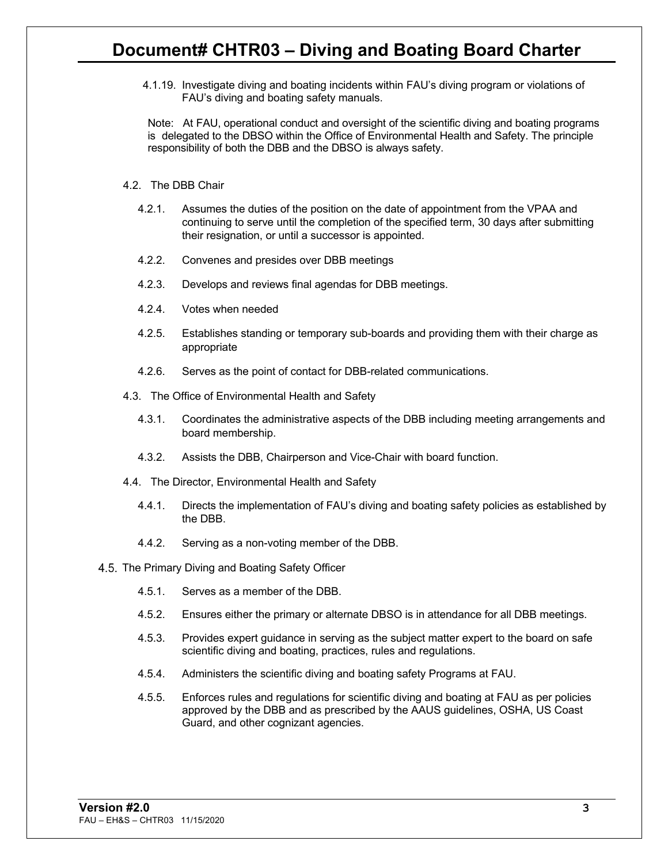4.1.19. Investigate diving and boating incidents within FAU's diving program or violations of FAU's diving and boating safety manuals.

Note: At FAU, operational conduct and oversight of the scientific diving and boating programs is delegated to the DBSO within the Office of Environmental Health and Safety. The principle responsibility of both the DBB and the DBSO is always safety.

- 4.2. The DBB Chair
	- 4.2.1. Assumes the duties of the position on the date of appointment from the VPAA and continuing to serve until the completion of the specified term, 30 days after submitting their resignation, or until a successor is appointed.
	- 4.2.2. Convenes and presides over DBB meetings
	- 4.2.3. Develops and reviews final agendas for DBB meetings.
	- 4.2.4. Votes when needed
	- 4.2.5. Establishes standing or temporary sub-boards and providing them with their charge as appropriate
	- 4.2.6. Serves as the point of contact for DBB-related communications.
- 4.3. The Office of Environmental Health and Safety
	- 4.3.1. Coordinates the administrative aspects of the DBB including meeting arrangements and board membership.
	- 4.3.2. Assists the DBB, Chairperson and Vice-Chair with board function.
- 4.4. The Director, Environmental Health and Safety
	- 4.4.1. Directs the implementation of FAU's diving and boating safety policies as established by the DBB.
	- 4.4.2. Serving as a non-voting member of the DBB.
- 4.5. The Primary Diving and Boating Safety Officer
	- 4.5.1. Serves as a member of the DBB.
	- 4.5.2. Ensures either the primary or alternate DBSO is in attendance for all DBB meetings.
	- 4.5.3. Provides expert guidance in serving as the subject matter expert to the board on safe scientific diving and boating, practices, rules and regulations.
	- 4.5.4. Administers the scientific diving and boating safety Programs at FAU.
	- 4.5.5. Enforces rules and regulations for scientific diving and boating at FAU as per policies approved by the DBB and as prescribed by the AAUS guidelines, OSHA, US Coast Guard, and other cognizant agencies.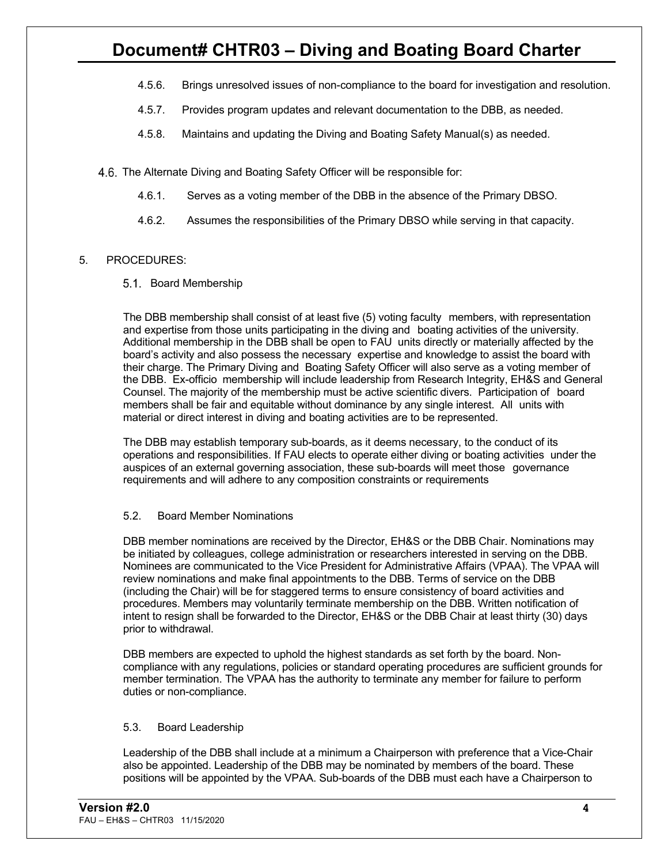- 4.5.6. Brings unresolved issues of non-compliance to the board for investigation and resolution.
- 4.5.7. Provides program updates and relevant documentation to the DBB, as needed.
- 4.5.8. Maintains and updating the Diving and Boating Safety Manual(s) as needed.
- 4.6. The Alternate Diving and Boating Safety Officer will be responsible for:
	- 4.6.1. Serves as a voting member of the DBB in the absence of the Primary DBSO.
	- 4.6.2. Assumes the responsibilities of the Primary DBSO while serving in that capacity.

#### 5. PROCEDURES:

5.1. Board Membership

The DBB membership shall consist of at least five (5) voting faculty members, with representation and expertise from those units participating in the diving and boating activities of the university. Additional membership in the DBB shall be open to FAU units directly or materially affected by the board's activity and also possess the necessary expertise and knowledge to assist the board with their charge. The Primary Diving and Boating Safety Officer will also serve as a voting member of the DBB. Ex-officio membership will include leadership from Research Integrity, EH&S and General Counsel. The majority of the membership must be active scientific divers. Participation of board members shall be fair and equitable without dominance by any single interest. All units with material or direct interest in diving and boating activities are to be represented.

The DBB may establish temporary sub-boards, as it deems necessary, to the conduct of its operations and responsibilities. If FAU elects to operate either diving or boating activities under the auspices of an external governing association, these sub-boards will meet those governance requirements and will adhere to any composition constraints or requirements

#### 5.2. Board Member Nominations

DBB member nominations are received by the Director, EH&S or the DBB Chair. Nominations may be initiated by colleagues, college administration or researchers interested in serving on the DBB. Nominees are communicated to the Vice President for Administrative Affairs (VPAA). The VPAA will review nominations and make final appointments to the DBB. Terms of service on the DBB (including the Chair) will be for staggered terms to ensure consistency of board activities and procedures. Members may voluntarily terminate membership on the DBB. Written notification of intent to resign shall be forwarded to the Director, EH&S or the DBB Chair at least thirty (30) days prior to withdrawal.

DBB members are expected to uphold the highest standards as set forth by the board. Noncompliance with any regulations, policies or standard operating procedures are sufficient grounds for member termination. The VPAA has the authority to terminate any member for failure to perform duties or non-compliance.

#### 5.3. Board Leadership

Leadership of the DBB shall include at a minimum a Chairperson with preference that a Vice-Chair also be appointed. Leadership of the DBB may be nominated by members of the board. These positions will be appointed by the VPAA. Sub-boards of the DBB must each have a Chairperson to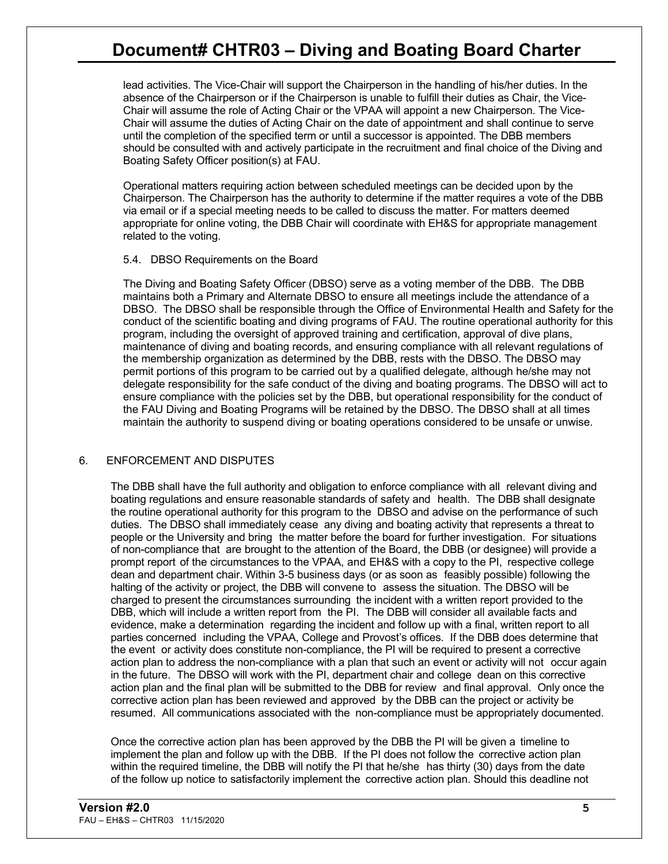lead activities. The Vice-Chair will support the Chairperson in the handling of his/her duties. In the absence of the Chairperson or if the Chairperson is unable to fulfill their duties as Chair, the Vice-Chair will assume the role of Acting Chair or the VPAA will appoint a new Chairperson. The Vice-Chair will assume the duties of Acting Chair on the date of appointment and shall continue to serve until the completion of the specified term or until a successor is appointed. The DBB members should be consulted with and actively participate in the recruitment and final choice of the Diving and Boating Safety Officer position(s) at FAU.

Operational matters requiring action between scheduled meetings can be decided upon by the Chairperson. The Chairperson has the authority to determine if the matter requires a vote of the DBB via email or if a special meeting needs to be called to discuss the matter. For matters deemed appropriate for online voting, the DBB Chair will coordinate with EH&S for appropriate management related to the voting.

#### 5.4. DBSO Requirements on the Board

The Diving and Boating Safety Officer (DBSO) serve as a voting member of the DBB. The DBB maintains both a Primary and Alternate DBSO to ensure all meetings include the attendance of a DBSO. The DBSO shall be responsible through the Office of Environmental Health and Safety for the conduct of the scientific boating and diving programs of FAU. The routine operational authority for this program, including the oversight of approved training and certification, approval of dive plans, maintenance of diving and boating records, and ensuring compliance with all relevant regulations of the membership organization as determined by the DBB, rests with the DBSO. The DBSO may permit portions of this program to be carried out by a qualified delegate, although he/she may not delegate responsibility for the safe conduct of the diving and boating programs. The DBSO will act to ensure compliance with the policies set by the DBB, but operational responsibility for the conduct of the FAU Diving and Boating Programs will be retained by the DBSO. The DBSO shall at all times maintain the authority to suspend diving or boating operations considered to be unsafe or unwise.

#### 6. ENFORCEMENT AND DISPUTES

The DBB shall have the full authority and obligation to enforce compliance with all relevant diving and boating regulations and ensure reasonable standards of safety and health. The DBB shall designate the routine operational authority for this program to the DBSO and advise on the performance of such duties. The DBSO shall immediately cease any diving and boating activity that represents a threat to people or the University and bring the matter before the board for further investigation. For situations of non-compliance that are brought to the attention of the Board, the DBB (or designee) will provide a prompt report of the circumstances to the VPAA, and EH&S with a copy to the PI, respective college dean and department chair. Within 3-5 business days (or as soon as feasibly possible) following the halting of the activity or project, the DBB will convene to assess the situation. The DBSO will be charged to present the circumstances surrounding the incident with a written report provided to the DBB, which will include a written report from the PI. The DBB will consider all available facts and evidence, make a determination regarding the incident and follow up with a final, written report to all parties concerned including the VPAA, College and Provost's offices. If the DBB does determine that the event or activity does constitute non-compliance, the PI will be required to present a corrective action plan to address the non-compliance with a plan that such an event or activity will not occur again in the future. The DBSO will work with the PI, department chair and college dean on this corrective action plan and the final plan will be submitted to the DBB for review and final approval. Only once the corrective action plan has been reviewed and approved by the DBB can the project or activity be resumed. All communications associated with the non-compliance must be appropriately documented.

Once the corrective action plan has been approved by the DBB the PI will be given a timeline to implement the plan and follow up with the DBB. If the PI does not follow the corrective action plan within the required timeline, the DBB will notify the PI that he/she has thirty (30) days from the date of the follow up notice to satisfactorily implement the corrective action plan. Should this deadline not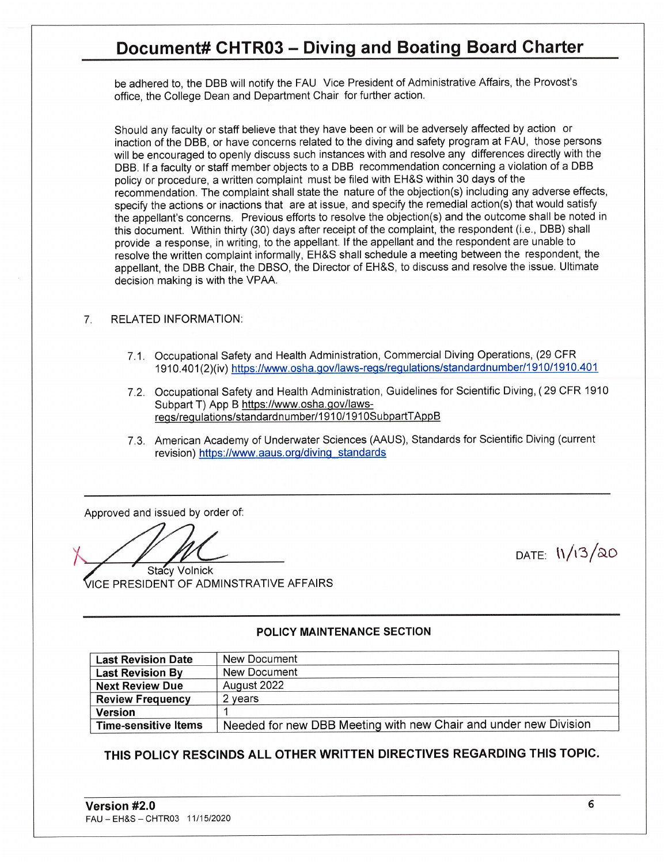be adhered to, the DBB will notify the FAU Vice President of Administrative Affairs, the Provost's office, the College Dean and Department Chair for further action.

Should any faculty or staff believe that they have been or will be adversely affected by action or inaction of the DBB, or have concerns related to the diving and safety program at FAU, those persons will be encouraged to openly discuss such instances with and resolve any differences directly with the DBB. If a faculty or staff member objects to a DBB recommendation concerning a violation of a DBB policy or procedure, a written complaint must be filed with EH&S within 30 days of the recommendation. The complaint shall state the nature of the objection(s) including any adverse effects, specify the actions or inactions that are at issue, and specify the remedial action(s) that would satisfy the appellant's concerns. Previous efforts to resolve the objection(s) and the outcome shall be noted in this document. Within thirty (30) days after receipt of the complaint, the respondent (i.e., DBB) shall provide a response, in writing, to the appellant. If the appellant and the respondent are unable to resolve the written complaint informally, EH&S shall schedule a meeting between the respondent, the appellant, the DBB Chair, the DBSO, the Director of EH&S, to discuss and resolve the issue. Ultimate decision making is with the VPAA.

#### $7<sub>1</sub>$ **RELATED INFORMATION:**

- 7.1. Occupational Safety and Health Administration, Commercial Diving Operations, (29 CFR 1910.401(2)(iv) https://www.osha.gov/laws-regs/regulations/standardnumber/1910/1910.401
- 7.2. Occupational Safety and Health Administration, Guidelines for Scientific Diving, (29 CFR 1910 Subpart T) App B https://www.osha.gov/lawsregs/regulations/standardnumber/1910/1910SubpartTAppB
- 7.3. American Academy of Underwater Sciences (AAUS), Standards for Scientific Diving (current revision) https://www.aaus.org/diving standards

Approved and issued by order of:

**Stacy Volnick ICE PRESIDENT OF ADMINSTRATIVE AFFAIRS** 

#### POLICY MAINTENANCE SECTION

| <b>Last Revision Date</b>   | New Document                                                     |  |
|-----------------------------|------------------------------------------------------------------|--|
| <b>Last Revision By</b>     | New Document                                                     |  |
| <b>Next Review Due</b>      | August 2022                                                      |  |
| <b>Review Frequency</b>     | 2 vears                                                          |  |
| <b>Version</b>              |                                                                  |  |
| <b>Time-sensitive Items</b> | Needed for new DBB Meeting with new Chair and under new Division |  |

THIS POLICY RESCINDS ALL OTHER WRITTEN DIRECTIVES REGARDING THIS TOPIC.

DATE:  $11/13/20$